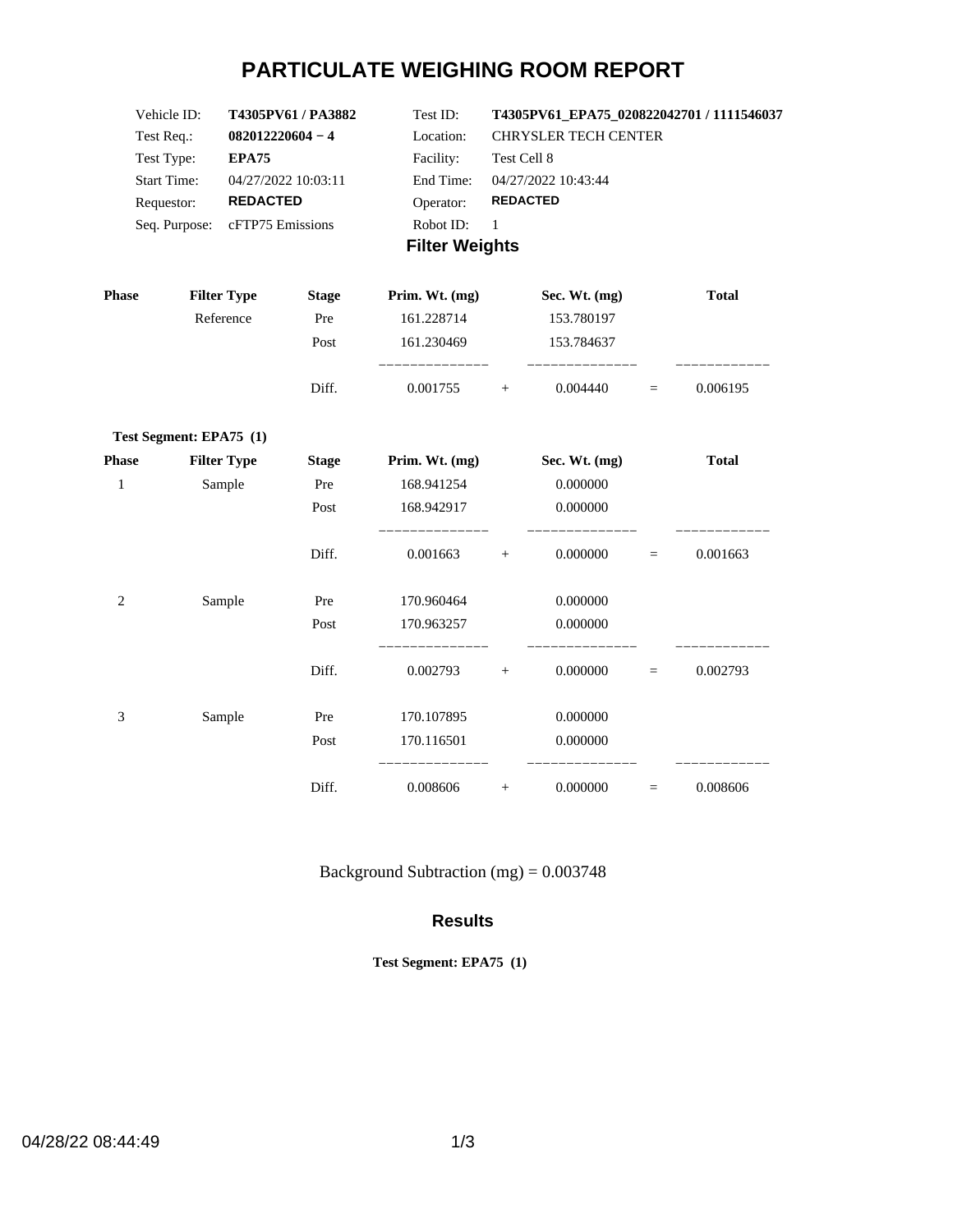# **PARTICULATE WEIGHING ROOM REPORT**

| Vehicle ID:           | T4305PV61/PA3882    | Test ID:  | T4305PV61 EPA75 020822042701 / 1111546037 |  |
|-----------------------|---------------------|-----------|-------------------------------------------|--|
| Test Req.:            | $082012220604 - 4$  | Location: | <b>CHRYSLER TECH CENTER</b>               |  |
| Test Type:            | <b>EPA75</b>        | Facility: | Test Cell 8                               |  |
| <b>Start Time:</b>    | 04/27/2022 10:03:11 | End Time: | 04/27/2022 10:43:44                       |  |
| Requestor:            | <b>REDACTED</b>     | Operator: | <b>REDACTED</b>                           |  |
| Seq. Purpose:         | cFTP75 Emissions    | Robot ID: | -1                                        |  |
| <b>Filter Weights</b> |                     |           |                                           |  |

| <b>Phase</b> | <b>Filter Type</b>      | <b>Stage</b> | Prim. Wt. (mg)   |        | Sec. Wt. (mg) |          | <b>Total</b> |
|--------------|-------------------------|--------------|------------------|--------|---------------|----------|--------------|
|              | Reference               | Pre          | 161.228714       |        | 153.780197    |          |              |
|              |                         | Post         | 161.230469       |        | 153.784637    |          |              |
|              |                         | Diff.        | 0.001755         | $^{+}$ | 0.004440      | $\equiv$ | 0.006195     |
|              | Test Segment: EPA75 (1) |              |                  |        |               |          |              |
| <b>Phase</b> | <b>Filter Type</b>      | <b>Stage</b> | Prim. Wt. $(mg)$ |        | Sec. Wt. (mg) |          | <b>Total</b> |
| $\mathbf{1}$ | Sample                  | Pre          | 168.941254       |        | 0.000000      |          |              |
|              |                         | Post         | 168.942917       |        | 0.000000      |          |              |
|              |                         | Diff.        | 0.001663         | $+$    | 0.000000      | $=$      | 0.001663     |
| 2            | Sample                  | Pre          | 170.960464       |        | 0.000000      |          |              |
|              |                         | Post         | 170.963257       |        | 0.000000      |          |              |
|              |                         | Diff.        | 0.002793         | $^{+}$ | 0.000000      | $\equiv$ | 0.002793     |
| 3            | Sample                  | Pre          | 170.107895       |        | 0.000000      |          |              |
|              |                         | Post         | 170.116501       |        | 0.000000      |          |              |
|              |                         | Diff.        | 0.008606         | $+$    | 0.000000      | $=$      | 0.008606     |

Background Subtraction (mg) = 0.003748

#### **Results**

**Test Segment: EPA75 (1)**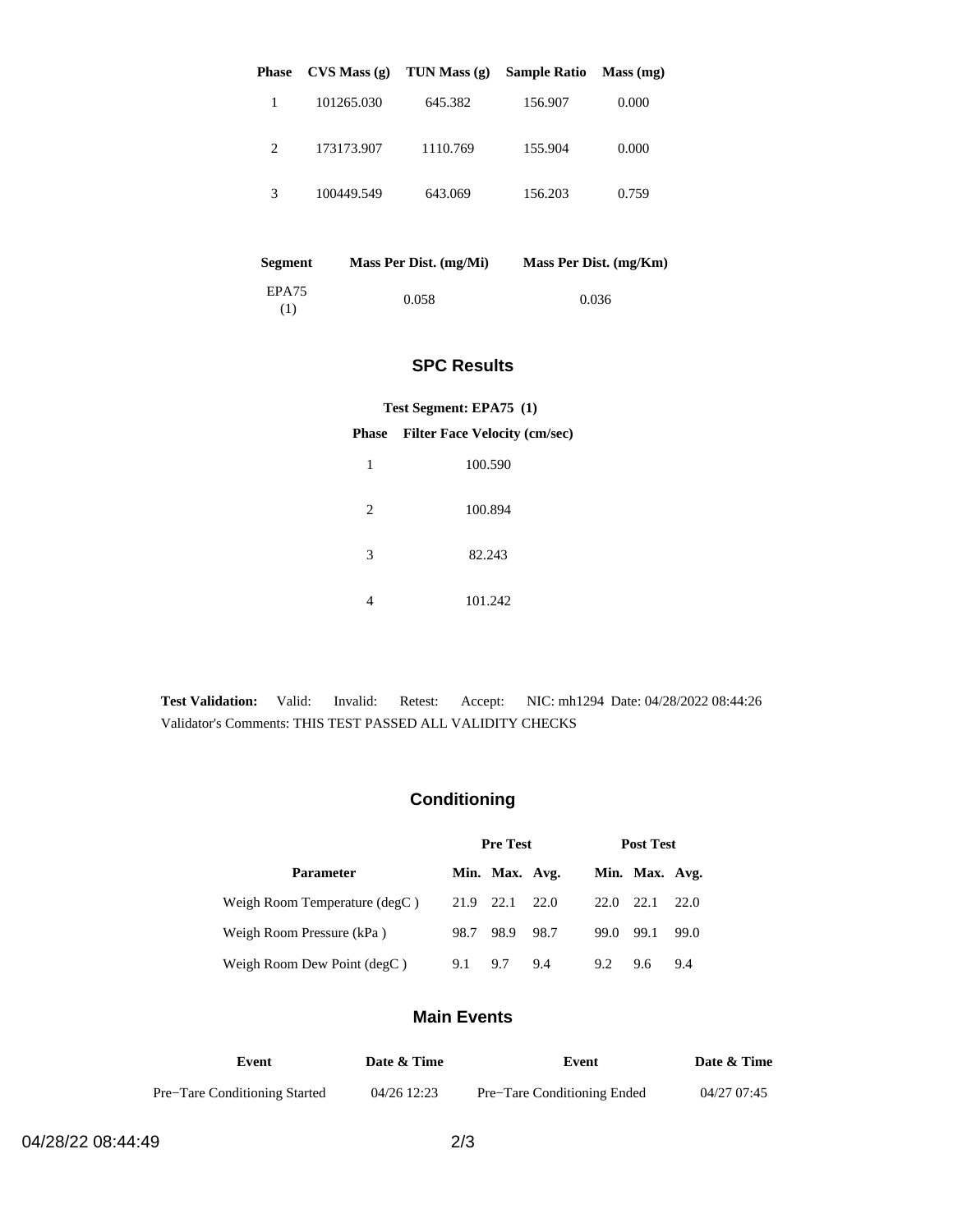| <b>Phase</b>                | CVS Mass(g) | TUN Mass $(g)$ | <b>Sample Ratio</b> | Mass (mg) |
|-----------------------------|-------------|----------------|---------------------|-----------|
|                             | 101265.030  | 645.382        | 156.907             | 0.000     |
| $\mathcal{D}_{\mathcal{L}}$ | 173173.907  | 1110.769       | 155.904             | 0.000     |
| 3                           | 100449.549  | 643.069        | 156.203             | 0.759     |

| <b>Segment</b> | Mass Per Dist. (mg/Mi) | Mass Per Dist. (mg/Km) |
|----------------|------------------------|------------------------|
| EPA75<br>(1)   | 0.058                  | 0.036                  |

#### **SPC Results**

#### **Test Segment: EPA75 (1)**

#### **Phase Filter Face Velocity (cm/sec)**

| 1              | 100.590 |
|----------------|---------|
| $\overline{c}$ | 100.894 |
| 3              | 82.243  |
|                | 101.242 |

**Test Validation:** Valid: Invalid: Retest: Accept: NIC: mh1294 Date: 04/28/2022 08:44:26 Validator's Comments: THIS TEST PASSED ALL VALIDITY CHECKS

## **Conditioning**

|                               | <b>Pre Test</b> |                |        | <b>Post Test</b> |                |      |
|-------------------------------|-----------------|----------------|--------|------------------|----------------|------|
| <b>Parameter</b>              |                 | Min. Max. Avg. |        |                  | Min. Max. Avg. |      |
| Weigh Room Temperature (degC) |                 | 21.9 22.1 22.0 |        | 22.0 22.1        |                | 22.0 |
| Weigh Room Pressure (kPa)     | 98.7            | 98.9           | - 98.7 | 99.0             | 99.1           | 99.0 |
| Weigh Room Dew Point (degC)   | 9.1             | 9.7            | 9.4    | 9.2              | 9.6            | 9.4  |

### **Main Events**

| Event                         | Date & Time | Event                       | Date & Time |
|-------------------------------|-------------|-----------------------------|-------------|
| Pre-Tare Conditioning Started | 04/26 12:23 | Pre-Tare Conditioning Ended | 04/27 07:45 |